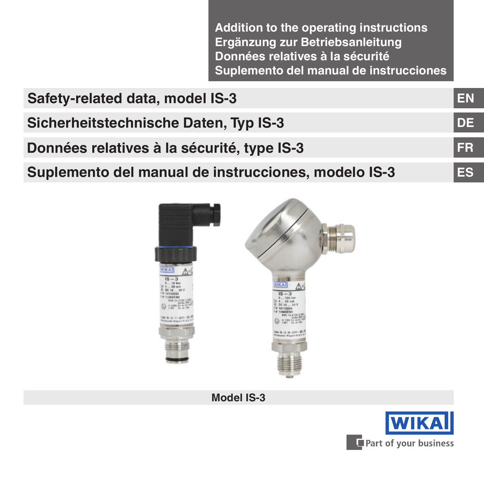**Addition to the operating instructions Ergänzung zur Betriebsanleitung Données relatives à la sécurité Suplemento del manual de instrucciones**

| Safety-related data, model IS-3                     | EN         |
|-----------------------------------------------------|------------|
| Sicherheitstechnische Daten, Typ IS-3               | <b>DE</b>  |
| Données relatives à la sécurité, type IS-3          | <b>FR</b>  |
| Suplemento del manual de instrucciones, modelo IS-3 | <b>IES</b> |





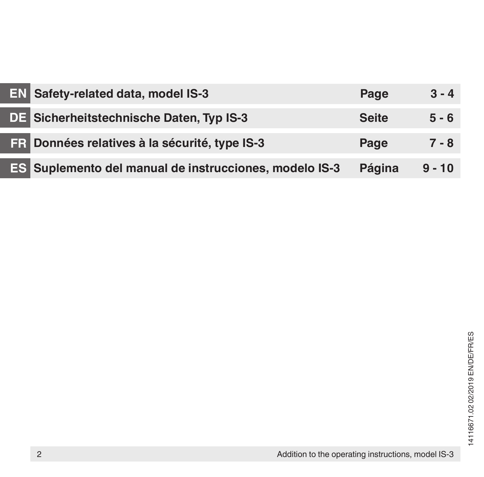| <b>EN</b> Safety-related data, model IS-3              | Page         | $3 - 4$  |
|--------------------------------------------------------|--------------|----------|
| <b>DE Sicherheitstechnische Daten, Typ IS-3</b>        | <b>Seite</b> | $5 - 6$  |
| <b>FR Données relatives à la sécurité, type IS-3</b>   | Page         | $7 - 8$  |
| ES Suplemento del manual de instrucciones, modelo IS-3 | Página       | $9 - 10$ |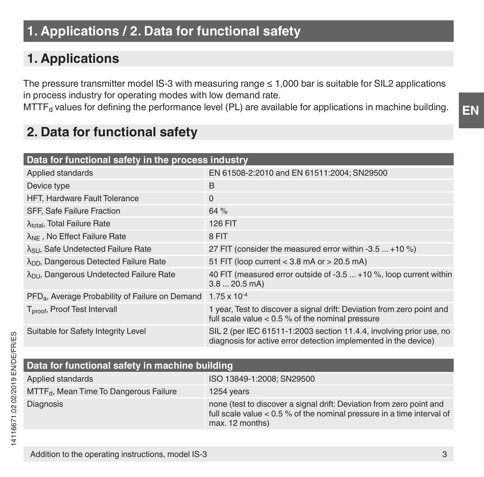# **1. Applications / 2. Data for functional safety**

#### **1. Applications**

The pressure transmitter model IS-3 with measuring range ≤ 1,000 bar is suitable for SIL2 applications in process industry for operating modes with low demand rate.

 $MTTF<sub>d</sub>$  values for defining the performance level (PL) are available for applications in machine building.

#### **2. Data for functional safety**

| Data for functional safety in the process industry          |                                                                                                                                        |  |
|-------------------------------------------------------------|----------------------------------------------------------------------------------------------------------------------------------------|--|
| Applied standards                                           | EN 61508-2:2010 and EN 61511:2004; SN29500                                                                                             |  |
| Device type                                                 | <sub>B</sub>                                                                                                                           |  |
| HFT, Hardware Fault Tolerance                               | $\Omega$                                                                                                                               |  |
| SFF, Safe Failure Fraction                                  | 64 %                                                                                                                                   |  |
| $\lambda_{total}$ , Total Failure Rate                      | <b>126 FIT</b>                                                                                                                         |  |
| $\lambda_{\text{NF}}$ , No Effect Failure Rate              | 8 FIT                                                                                                                                  |  |
| λ <sub>SU</sub> , Safe Undetected Failure Rate              | 27 FIT (consider the measured error within $-3.5+10\%$ )                                                                               |  |
| λ <sub>DD</sub> , Dangerous Detected Failure Rate           | 51 FIT (loop current < 3.8 mA or > 20.5 mA)                                                                                            |  |
| λ <sub>DU</sub> , Dangerous Undetected Failure Rate         | 40 FIT (measured error outside of -3.5  +10 %, loop current within<br>$3.820.5$ mA)                                                    |  |
| PFD <sub>a</sub> , Average Probability of Failure on Demand | $1.75 \times 10^{-4}$                                                                                                                  |  |
| T <sub>proof</sub> , Proof Test Intervall                   | 1 year, Test to discover a signal drift: Deviation from zero point and<br>full scale value $< 0.5$ % of the nominal pressure           |  |
| Suitable for Safety Integrity Level                         | SIL 2 (per IEC 61511-1:2003 section 11.4.4, involving prior use, no<br>diagnosis for active error detection implemented in the device) |  |

| Data for functional safety in machine building     |                                                                                                                                                                     |  |
|----------------------------------------------------|---------------------------------------------------------------------------------------------------------------------------------------------------------------------|--|
| Applied standards                                  | ISO 13849-1:2008; SN29500                                                                                                                                           |  |
| MTTF <sub>d</sub> , Mean Time To Dangerous Failure | 1254 years                                                                                                                                                          |  |
| Diagnosis                                          | none (test to discover a signal drift: Deviation from zero point and<br>full scale value $< 0.5$ % of the nominal pressure in a time interval of<br>max. 12 months) |  |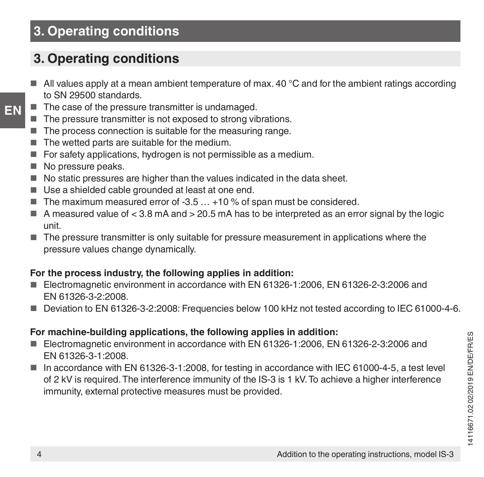## **3. Operating conditions**

### **3. Operating conditions**

- $\blacksquare$  All values apply at a mean ambient temperature of max. 40 °C and for the ambient ratings according to SN 29500 standards.
- The case of the pressure transmitter is undamaged.
- The pressure transmitter is not exposed to strong vibrations.
- The process connection is suitable for the measuring range.
- The wetted parts are suitable for the medium.
- For safety applications, hydrogen is not permissible as a medium.
- No pressure peaks.
- No static pressures are higher than the values indicated in the data sheet.
- Use a shielded cable grounded at least at one end.
- The maximum measured error of -3.5 ... +10 % of span must be considered.
- A measured value of < 3.8 mA and > 20.5 mA has to be interpreted as an error signal by the logic unit.
- The pressure transmitter is only suitable for pressure measurement in applications where the pressure values change dynamically.

#### **For the process industry, the following applies in addition:**

- Electromagnetic environment in accordance with EN 61326-1:2006, EN 61326-2-3:2006 and EN 61326-3-2:2008.
- Deviation to EN 61326-3-2:2008: Frequencies below 100 kHz not tested according to IEC 61000-4-6.

#### **For machine-building applications, the following applies in addition:**

- Electromagnetic environment in accordance with EN 61326-1:2006, EN 61326-2-3:2006 and EN 61326-3-1:2008.
- In accordance with EN 61326-3-1:2008, for testing in accordance with IEC 61000-4-5, a test level of 2 kV is required. The interference immunity of the IS-3 is 1 kV. To achieve a higher interference immunity, external protective measures must be provided.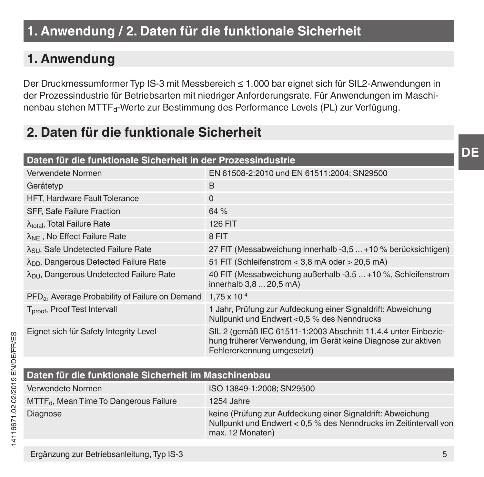## **1. Anwendung / 2. Daten für die funktionale Sicherheit**

### **1. Anwendung**

Der Druckmessumformer Typ IS-3 mit Messbereich ≤ 1.000 bar eignet sich für SIL2-Anwendungen in der Prozessindustrie für Betriebsarten mit niedriger Anforderungsrate. Für Anwendungen im Maschinenbau stehen MTTF<sub>d</sub>-Werte zur Bestimmung des Performance Levels (PL) zur Verfügung.

#### **2. Daten für die funktionale Sicherheit**

| Daten für die funktionale Sicherheit in der Prozessindustrie |                                                                                                                                                               |
|--------------------------------------------------------------|---------------------------------------------------------------------------------------------------------------------------------------------------------------|
| Verwendete Normen                                            | EN 61508-2:2010 und EN 61511:2004; SN29500                                                                                                                    |
| Gerätetyp                                                    | <sub>B</sub>                                                                                                                                                  |
| <b>HFT, Hardware Fault Tolerance</b>                         | $\Omega$                                                                                                                                                      |
| <b>SFF, Safe Failure Fraction</b>                            | 64%                                                                                                                                                           |
| $\lambda_{\text{total}}$ , Total Failure Rate                | 126 FIT                                                                                                                                                       |
| $\lambda_{\text{NF}}$ , No Effect Failure Rate               | 8 FIT                                                                                                                                                         |
| λ <sub>SU</sub> , Safe Undetected Failure Rate               | 27 FIT (Messabweichung innerhalb -3,5  +10 % berücksichtigen)                                                                                                 |
| $\lambda_{\text{DD}}$ , Dangerous Detected Failure Rate      | 51 FIT (Schleifenstrom < 3,8 mA oder > 20,5 mA)                                                                                                               |
| λ <sub>DU</sub> , Dangerous Undetected Failure Rate          | 40 FIT (Messabweichung außerhalb -3,5  +10 %, Schleifenstrom<br>innerhalb 3,8  20,5 mA)                                                                       |
| PFD <sub>a</sub> , Average Probability of Failure on Demand  | $1.75 \times 10^{-4}$                                                                                                                                         |
| T <sub>proof</sub> , Proof Test Intervall                    | 1 Jahr, Prüfung zur Aufdeckung einer Signaldrift: Abweichung<br>Nullpunkt und Endwert < 0,5 % des Nenndrucks                                                  |
| Eignet sich für Safety Integrity Level                       | SIL 2 (gemäß IEC 61511-1:2003 Abschnitt 11.4.4 unter Einbezie-<br>hung früherer Verwendung, im Gerät keine Diagnose zur aktiven<br>Fehlererkennung umgesetzt) |

| Daten für die funktionale Sicherheit im Maschinenbau |                                                                                                                                                      |
|------------------------------------------------------|------------------------------------------------------------------------------------------------------------------------------------------------------|
| Verwendete Normen                                    | ISO 13849-1:2008; SN29500                                                                                                                            |
| MTTF <sub>d</sub> , Mean Time To Dangerous Failure   | 1254 Jahre                                                                                                                                           |
| Diagnose                                             | keine (Prüfung zur Aufdeckung einer Signaldrift: Abweichung<br>Nullpunkt und Endwert < 0.5 % des Nenndrucks im Zeitintervall von<br>max. 12 Monaten) |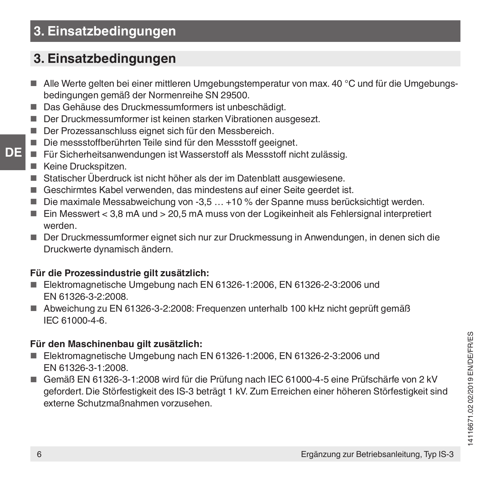## **3. Einsatzbedingungen**

### **3. Einsatzbedingungen**

- Alle Werte gelten bei einer mittleren Umgebungstemperatur von max. 40 °C und für die Umgebungsbedingungen gemäß der Normenreihe SN 29500.
- Das Gehäuse des Druckmessumformers ist unbeschädigt.
- Der Druckmessumformer ist keinen starken Vibrationen ausgesezt.
- Der Prozessanschluss eignet sich für den Messbereich.
- Die messstoffberührten Teile sind für den Messstoff geeignet.
- Für Sicherheitsanwendungen ist Wasserstoff als Messstoff nicht zulässig.
- Keine Druckspitzen.
- Statischer Überdruck ist nicht höher als der im Datenblatt ausgewiesene.
- Geschirmtes Kabel verwenden, das mindestens auf einer Seite geerdet ist.
- Die maximale Messabweichung von -3,5 ... +10 % der Spanne muss berücksichtigt werden.
- Ein Messwert < 3,8 mA und > 20,5 mA muss von der Logikeinheit als Fehlersignal interpretiert werden.
- Der Druckmessumformer eignet sich nur zur Druckmessung in Anwendungen, in denen sich die Druckwerte dynamisch ändern.

#### **Für die Prozessindustrie gilt zusätzlich:**

- Elektromagnetische Umgebung nach EN 61326-1:2006, EN 61326-2-3:2006 und EN 61326-3-2:2008.
- Abweichung zu EN 61326-3-2:2008: Frequenzen unterhalb 100 kHz nicht geprüft gemäß IEC 61000-4-6.

#### **Für den Maschinenbau gilt zusätzlich:**

- Elektromagnetische Umgebung nach EN 61326-1:2006, EN 61326-2-3:2006 und EN 61326-3-1:2008.
- Gemäß EN 61326-3-1:2008 wird für die Prüfung nach IEC 61000-4-5 eine Prüfschärfe von 2 kV gefordert. Die Störfestigkeit des IS-3 beträgt 1 kV. Zum Erreichen einer höheren Störfestigkeit sind externe Schutzmaßnahmen vorzusehen.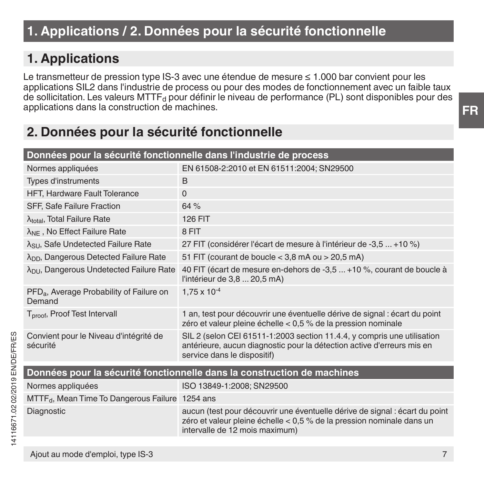### **1. Applications**

Le transmetteur de pression type IS-3 avec une étendue de mesure ≤ 1.000 bar convient pour les applications SIL2 dans l'industrie de process ou pour des modes de fonctionnement avec un faible taux de sollicitation. Les valeurs MTTF<sub>d</sub> pour définir le niveau de performance (PL) sont disponibles pour des applications dans la construction de machines.

#### **2. Données pour la sécurité fonctionnelle**

| Données pour la sécurité fonctionnelle dans l'industrie de process      |                                                                                                                                                                                        |  |
|-------------------------------------------------------------------------|----------------------------------------------------------------------------------------------------------------------------------------------------------------------------------------|--|
| Normes appliquées                                                       | EN 61508-2:2010 et EN 61511:2004; SN29500                                                                                                                                              |  |
| Types d'instruments                                                     | B                                                                                                                                                                                      |  |
| <b>HFT, Hardware Fault Tolerance</b>                                    | $\mathbf{0}$                                                                                                                                                                           |  |
| <b>SFF. Safe Failure Fraction</b>                                       | 64 %                                                                                                                                                                                   |  |
| $\lambda_{\text{total}}$ , Total Failure Rate                           | <b>126 FIT</b>                                                                                                                                                                         |  |
| $\lambda_{\text{NF}}$ , No Effect Failure Rate                          | 8 FIT                                                                                                                                                                                  |  |
| λ <sub>SU</sub> , Safe Undetected Failure Rate                          | 27 FIT (considérer l'écart de mesure à l'intérieur de -3,5  +10 %)                                                                                                                     |  |
| $\lambda_{\text{DD}}$ , Dangerous Detected Failure Rate                 | 51 FIT (courant de boucle $<$ 3,8 mA ou $>$ 20,5 mA)                                                                                                                                   |  |
| $\lambda_{\text{DU}}$ , Dangerous Undetected Failure Rate               | 40 FIT (écart de mesure en-dehors de -3,5  +10 %, courant de boucle à<br>l'intérieur de 3,8  20,5 mA)                                                                                  |  |
| PFD <sub>a</sub> , Average Probability of Failure on<br>Demand          | $1,75 \times 10^{-4}$                                                                                                                                                                  |  |
| T <sub>proof</sub> , Proof Test Intervall                               | 1 an, test pour découvrir une éventuelle dérive de signal : écart du point<br>zéro et valeur pleine échelle < 0,5 % de la pression nominale                                            |  |
| Convient pour le Niveau d'intégrité de<br>sécurité                      | SIL 2 (selon CEI 61511-1:2003 section 11.4.4, y compris une utilisation<br>antérieure, aucun diagnostic pour la détection active d'erreurs mis en<br>service dans le dispositif)       |  |
| Données pour la sécurité fonctionnelle dans la construction de machines |                                                                                                                                                                                        |  |
| Normes appliquées                                                       | ISO 13849-1:2008; SN29500                                                                                                                                                              |  |
| MTTF <sub>d</sub> , Mean Time To Dangerous Failure 1254 ans             |                                                                                                                                                                                        |  |
| Diagnostic                                                              | aucun (test pour découvrir une éventuelle dérive de signal : écart du point<br>zéro et valeur pleine échelle < 0,5 % de la pression nominale dans un<br>intervalle de 12 mois maximum) |  |
|                                                                         |                                                                                                                                                                                        |  |

14116671.02 02/2019 EN/DE/FR/ES

14116671.0202/2019 EN/DE/FR/ES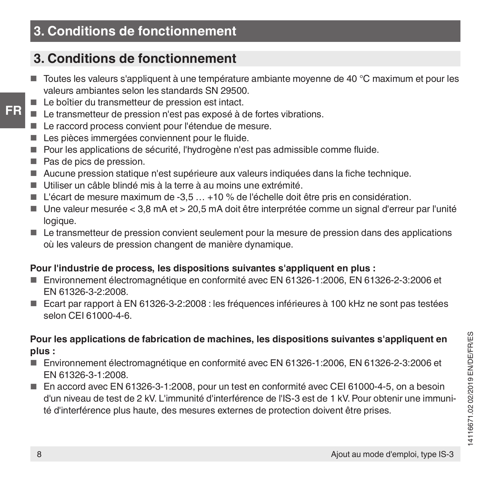# **3. Conditions de fonctionnement**

# **3. Conditions de fonctionnement**

- Toutes les valeurs s'appliquent à une température ambiante moyenne de 40 °C maximum et pour les valeurs ambiantes selon les standards SN 29500.
- Le boîtier du transmetteur de pression est intact.
- Le transmetteur de pression n'est pas exposé à de fortes vibrations.
- Le raccord process convient pour l'étendue de mesure.
- Les pièces immergées conviennent pour le fluide.
- Pour les applications de sécurité, l'hydrogène n'est pas admissible comme fluide.
- Pas de pics de pression.
- Aucune pression statique n'est supérieure aux valeurs indiquées dans la fiche technique.
- Utiliser un câble blindé mis à la terre à au moins une extrémité.
- L'écart de mesure maximum de -3,5 … +10 % de l'échelle doit être pris en considération.
- Une valeur mesurée < 3,8 mA et > 20,5 mA doit être interprétée comme un signal d'erreur par l'unité logique.
- Le transmetteur de pression convient seulement pour la mesure de pression dans des applications où les valeurs de pression changent de manière dynamique.

#### **Pour l'industrie de process, les dispositions suivantes s'appliquent en plus :**

- Environnement électromagnétique en conformité avec EN 61326-1:2006, EN 61326-2-3:2006 et EN 61326-3-2:2008.
- Ecart par rapport à EN 61326-3-2:2008 : les fréquences inférieures à 100 kHz ne sont pas testées selon CEI 61000-4-6.

#### **Pour les applications de fabrication de machines, les dispositions suivantes s'appliquent en plus :**

- Environnement électromagnétique en conformité avec EN 61326-1:2006, EN 61326-2-3:2006 et EN 61326-3-1:2008.
- En accord avec EN 61326-3-1:2008, pour un test en conformité avec CEI 61000-4-5, on a besoin d'un niveau de test de 2 kV. L'immunité d'interférence de l'IS-3 est de 1 kV. Pour obtenir une immunité d'interférence plus haute, des mesures externes de protection doivent être prises.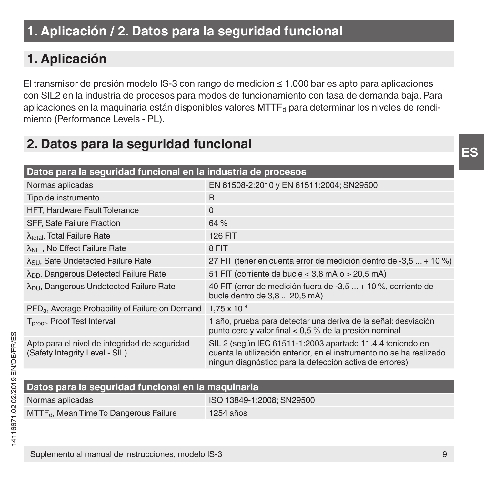# **1. Aplicación / 2. Datos para la seguridad funcional**

**2. Datos para la seguridad funcional**

# **1. Aplicación**

El transmisor de presión modelo IS-3 con rango de medición ≤ 1.000 bar es apto para aplicaciones con SIL2 en la industria de procesos para modos de funcionamiento con tasa de demanda baja. Para aplicaciones en la maquinaria están disponibles valores MTTF<sub>d</sub> para determinar los niveles de rendimiento (Performance Levels - PL).

#### **Datos para la seguridad funcional en la industria de procesos** Normas aplicadas EN 61508-2:2010 y EN 61511:2004; SN29500 Tipo de instrumento B HFT, Hardware Fault Tolerance 0 SFF, Safe Failure Fraction 64 % λ<sub>total</sub>, Total Failure Rate 126 FIT λ<sub>NE</sub> No Effect Failure Rate 8 FIT λSU, Safe Undetected Failure Rate 27 FIT (tener en cuenta error de medición dentro de -3,5 ... + 10 %)  $\lambda_{\rm DD}$ , Dangerous Detected Failure Rate 51 FIT (corriente de bucle < 3,8 mA o > 20,5 mA) λDU, Dangerous Undetected Failure Rate 40 FIT (error de medición fuera de -3,5 ... + 10 %, corriente de bucle dentro de 3,8 ... 20,5 mA) PFD<sub>a</sub>, Average Probability of Failure on Demand 1,75 x 10<sup>-4</sup> Tproof, Proof Test Interval 1 año, prueba para detectar una deriva de la señal: desviación punto cero y valor final < 0,5 % de la presión nominal Apto para el nivel de integridad de seguridad (Safety Integrity Level - SIL) SIL 2 (según IEC 61511-1:2003 apartado 11.4.4 teniendo en cuenta la utilización anterior, en el instrumento no se ha realizado ningún diagnóstico para la detección activa de errores)

| Datos para la seguridad funcional en la maquinaria |                           |  |
|----------------------------------------------------|---------------------------|--|
| Normas aplicadas                                   | ISO 13849-1:2008: SN29500 |  |
| MTTF <sub>d</sub> , Mean Time To Dangerous Failure | 1254 años                 |  |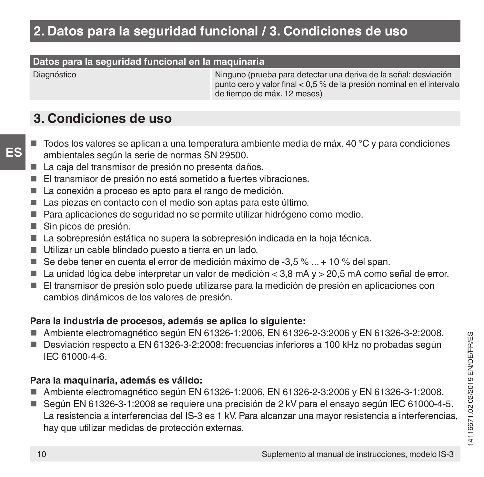#### **Datos para la seguridad funcional en la maquinaria**

**ES**

Diagnóstico Ninguno (prueba para detectar una deriva de la señal: desviación punto cero y valor final < 0,5 % de la presión nominal en el intervalo de tiempo de máx. 12 meses)

#### **3. Condiciones de uso**

- Todos los valores se aplican a una temperatura ambiente media de máx. 40 °C y para condiciones ambientales según la serie de normas SN 29500.
	- La caja del transmisor de presión no presenta daños.
	- El transmisor de presión no está sometido a fuertes vibraciones.
	- La conexión a proceso es apto para el rango de medición.
	- Las piezas en contacto con el medio son aptas para este último.
	- Para aplicaciones de seguridad no se permite utilizar hidrógeno como medio.
	- Sin picos de presión.
	- La sobrepresión estática no supera la sobrepresión indicada en la hoja técnica.
	- Utilizar un cable blindado puesto a tierra en un lado.
	- Se debe tener en cuenta el error de medición máximo de -3,5 % ... + 10 % del span.
	- La unidad lógica debe interpretar un valor de medición <  $3,8$  mA y > 20,5 mA como señal de error.
	- El transmisor de presión solo puede utilizarse para la medición de presión en aplicaciones con cambios dinámicos de los valores de presión.

#### **Para la industria de procesos, además se aplica lo siguiente:**

- Ambiente electromagnético según EN 61326-1:2006, EN 61326-2-3:2006 y EN 61326-3-2:2008.
- Desviación respecto a EN 61326-3-2:2008: frecuencias inferiores a 100 kHz no probadas según IEC 61000-4-6.

#### **Para la maquinaria, además es válido:**

- Ambiente electromagnético según EN 61326-1:2006, EN 61326-2-3:2006 y EN 61326-3-1:2008.
- Según EN 61326-3-1:2008 se requiere una precisión de 2 kV para el ensayo según IEC 61000-4-5. La resistencia a interferencias del IS-3 es 1 kV. Para alcanzar una mayor resistencia a interferencias, hay que utilizar medidas de protección externas.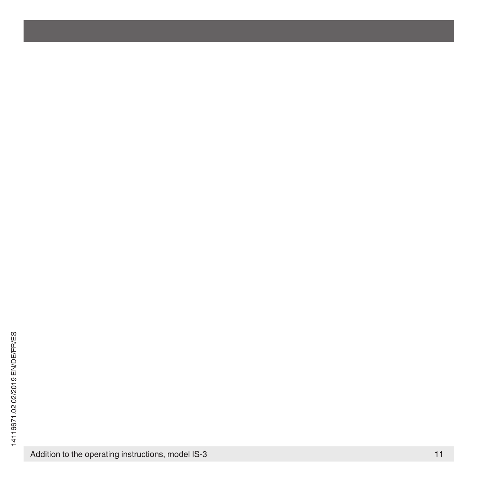Addition to the operating instructions, model IS-3